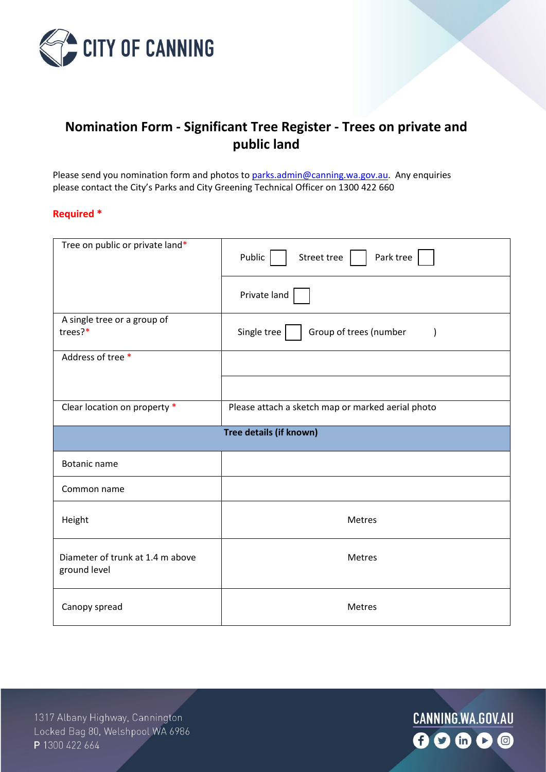

## **Nomination Form - Significant Tree Register - Trees on private and public land**

Please send you nomination form and photos to [parks.admin@canning.wa.gov.au.](mailto:parks.admin@canning.wa.gov.au) Any enquiries please contact the City's Parks and City Greening Technical Officer on 1300 422 660

## **Required \***

| Tree on public or private land*                  | Park tree<br>Public<br>Street tree                 |  |
|--------------------------------------------------|----------------------------------------------------|--|
|                                                  | Private land                                       |  |
| A single tree or a group of<br>trees?*           | Single tree<br>Group of trees (number<br>$\lambda$ |  |
| Address of tree*                                 |                                                    |  |
|                                                  |                                                    |  |
| Clear location on property *                     | Please attach a sketch map or marked aerial photo  |  |
| Tree details (if known)                          |                                                    |  |
| <b>Botanic name</b>                              |                                                    |  |
| Common name                                      |                                                    |  |
| Height                                           | Metres                                             |  |
| Diameter of trunk at 1.4 m above<br>ground level | Metres                                             |  |
| Canopy spread                                    | Metres                                             |  |

1317 Albany Highway, Cannington Locked Bag 80, Welshpool WA 6986 P 1300 422 664

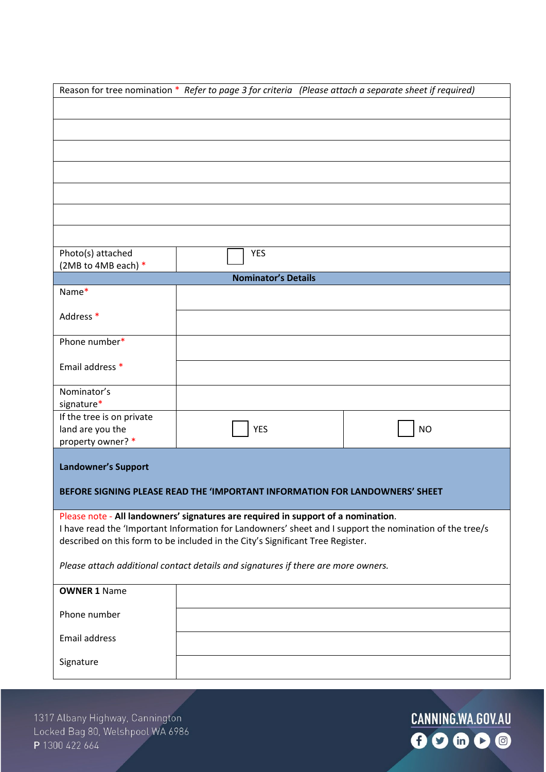| Reason for tree nomination * Refer to page 3 for criteria (Please attach a separate sheet if required)                                                                                       |                                                                             |           |  |  |
|----------------------------------------------------------------------------------------------------------------------------------------------------------------------------------------------|-----------------------------------------------------------------------------|-----------|--|--|
|                                                                                                                                                                                              |                                                                             |           |  |  |
|                                                                                                                                                                                              |                                                                             |           |  |  |
|                                                                                                                                                                                              |                                                                             |           |  |  |
|                                                                                                                                                                                              |                                                                             |           |  |  |
|                                                                                                                                                                                              |                                                                             |           |  |  |
|                                                                                                                                                                                              |                                                                             |           |  |  |
|                                                                                                                                                                                              |                                                                             |           |  |  |
|                                                                                                                                                                                              |                                                                             |           |  |  |
|                                                                                                                                                                                              |                                                                             |           |  |  |
| Photo(s) attached<br>(2MB to 4MB each) *                                                                                                                                                     | <b>YES</b>                                                                  |           |  |  |
|                                                                                                                                                                                              | <b>Nominator's Details</b>                                                  |           |  |  |
| Name*                                                                                                                                                                                        |                                                                             |           |  |  |
| Address *                                                                                                                                                                                    |                                                                             |           |  |  |
|                                                                                                                                                                                              |                                                                             |           |  |  |
| Phone number*                                                                                                                                                                                |                                                                             |           |  |  |
| Email address *                                                                                                                                                                              |                                                                             |           |  |  |
|                                                                                                                                                                                              |                                                                             |           |  |  |
| Nominator's                                                                                                                                                                                  |                                                                             |           |  |  |
| signature*<br>If the tree is on private                                                                                                                                                      |                                                                             |           |  |  |
| land are you the                                                                                                                                                                             | <b>YES</b>                                                                  | <b>NO</b> |  |  |
| property owner? *                                                                                                                                                                            |                                                                             |           |  |  |
| <b>Landowner's Support</b>                                                                                                                                                                   |                                                                             |           |  |  |
|                                                                                                                                                                                              |                                                                             |           |  |  |
|                                                                                                                                                                                              | BEFORE SIGNING PLEASE READ THE 'IMPORTANT INFORMATION FOR LANDOWNERS' SHEFT |           |  |  |
|                                                                                                                                                                                              |                                                                             |           |  |  |
| Please note - All landowners' signatures are required in support of a nomination.<br>I have read the 'Important Information for Landowners' sheet and I support the nomination of the tree/s |                                                                             |           |  |  |
| described on this form to be included in the City's Significant Tree Register.                                                                                                               |                                                                             |           |  |  |
| Please attach additional contact details and signatures if there are more owners.                                                                                                            |                                                                             |           |  |  |
|                                                                                                                                                                                              |                                                                             |           |  |  |
| <b>OWNER 1 Name</b>                                                                                                                                                                          |                                                                             |           |  |  |
| Phone number                                                                                                                                                                                 |                                                                             |           |  |  |
|                                                                                                                                                                                              |                                                                             |           |  |  |
| Email address                                                                                                                                                                                |                                                                             |           |  |  |
| Signature                                                                                                                                                                                    |                                                                             |           |  |  |
|                                                                                                                                                                                              |                                                                             |           |  |  |

1317 Albany Highway, Cannington Locked Bag 80, Welshpool WA 6986 P 1300 422 664